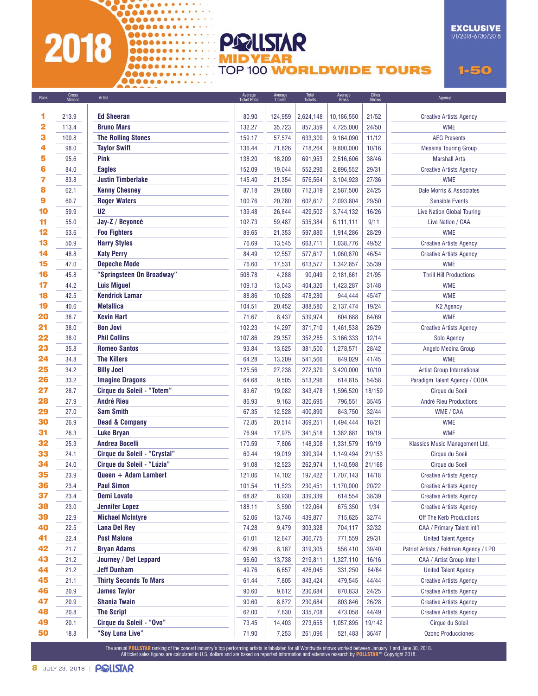## Booming 2018

0000000000000000

000000000000000 

**EXCLUSIVE** 1/1/2018-6/30/2018

**TOP 100 WORLDWIDE TOURS** 

 $1 - 50$ 

| Rank | Gross<br>Millions | Artist                            | Average<br>Ticket Price | Average<br>Tickets | Total<br>Tickets | Average<br>Gross | <b>Cities</b><br>Shows | Agency                                 |
|------|-------------------|-----------------------------------|-------------------------|--------------------|------------------|------------------|------------------------|----------------------------------------|
|      |                   |                                   |                         |                    |                  |                  |                        |                                        |
| 1    | 213.9             | <b>Ed Sheeran</b>                 | 80.90                   | 124,959            | 2,624,148        | 10,186,550       | 21/52                  | <b>Creative Artists Agency</b>         |
| 2    | 113.4             | <b>Bruno Mars</b>                 | 132.27                  | 35,723             | 857,359          | 4,725,000        | 24/50                  | <b>WME</b>                             |
| 3    | 100.8             | <b>The Rolling Stones</b>         | 159.17                  | 57,574             | 633,309          | 9,164,090        | 11/12                  | <b>AEG Presents</b>                    |
| 4    | 98.0              | <b>Taylor Swift</b>               | 136.44                  | 71,826             | 718,264          | 9,800,000        | 10/16                  | <b>Messina Touring Group</b>           |
| 5    | 95.6              | Pink                              | 138.20                  | 18,209             | 691,953          | 2,516,606        | 38/46                  | <b>Marshall Arts</b>                   |
| 6    | 84.0              | <b>Eagles</b>                     | 152.09                  | 19,044             | 552,290          | 2,896,552        | 29/31                  | <b>Creative Artists Agency</b>         |
| 7    | 83.8              | <b>Justin Timberlake</b>          | 145.40                  | 21,354             | 576,564          | 3,104,923        | 27/36                  | <b>WME</b>                             |
| 8    | 62.1              | <b>Kenny Chesney</b>              | 87.18                   | 29,680             | 712,319          | 2,587,500        | 24/25                  | Dale Morris & Associates               |
| 9    | 60.7              | <b>Roger Waters</b>               | 100.76                  | 20,780             | 602,617          | 2,093,804        | 29/50                  | <b>Sensible Events</b>                 |
| 10   | 59.9              | U <sub>2</sub>                    | 139.48                  | 26,844             | 429,502          | 3,744,132        | 16/26                  | <b>Live Nation Global Touring</b>      |
| 11   | 55.0              | Jay-Z / Beyoncé                   | 102.73                  | 59,487             | 535,384          | 6,111,111        | 9/11                   | Live Nation / CAA                      |
| 12   | 53.6              | <b>Foo Fighters</b>               | 89.65                   | 21,353             | 597,880          | 1,914,286        | 28/29                  | <b>WME</b>                             |
| 13   | 50.9              | <b>Harry Styles</b>               | 76.69                   | 13,545             | 663,711          | 1,038,776        | 49/52                  | <b>Creative Artists Agency</b>         |
| 14   | 48.8              | <b>Katy Perry</b>                 | 84.49                   | 12,557             | 577,617          | 1,060,870        | 46/54                  | <b>Creative Artists Agency</b>         |
| 15   | 47.0              | <b>Depeche Mode</b>               | 76.60                   | 17,531             | 613,577          | 1,342,857        | 35/39                  | <b>WME</b>                             |
| 16   | 45.8              | "Springsteen On Broadway"         | 508.78                  | 4,288              | 90,049           | 2,181,661        | 21/95                  | <b>Thrill Hill Productions</b>         |
| 17   | 44.2              | <b>Luis Miguel</b>                | 109.13                  | 13,043             | 404,320          | 1,423,287        | 31/48                  | <b>WME</b>                             |
| 18   | 42.5              | <b>Kendrick Lamar</b>             | 88.86                   | 10,628             | 478,280          | 944,444          | 45/47                  | <b>WME</b>                             |
| 19   | 40.6              | <b>Metallica</b>                  | 104.51                  | 20,452             | 388,580          | 2,137,474        | 19/24                  | K2 Agency                              |
| 20   | 38.7              | <b>Kevin Hart</b>                 | 71.67                   | 8,437              | 539,974          | 604,688          | 64/69                  | <b>WME</b>                             |
| 21   | 38.0              | <b>Bon Jovi</b>                   | 102.23                  | 14,297             | 371,710          | 1,461,538        | 26/29                  | <b>Creative Artists Agency</b>         |
| 22   | 38.0              | <b>Phil Collins</b>               | 107.86                  | 29,357             | 352,285          | 3,166,333        | 12/14                  | Solo Agency                            |
| 23   | 35.8              | <b>Romeo Santos</b>               | 93.84                   | 13,625             | 381,500          | 1,278,571        | 28/42                  | Angelo Medina Group                    |
| 24   | 34.8              | <b>The Killers</b>                | 64.28                   | 13,209             | 541,566          | 849,029          | 41/45                  | <b>WME</b>                             |
| 25   | 34.2              | <b>Billy Joel</b>                 | 125.56                  | 27,238             | 272,379          | 3,420,000        | 10/10                  | Artist Group International             |
| 26   | 33.2              | <b>Imagine Dragons</b>            | 64.68                   | 9,505              | 513,296          | 614,815          | 54/58                  | Paradigm Talent Agency / CODA          |
| 27   | 28.7              | <b>Cirque du Soleil - "Totem"</b> | 83.67                   | 19,082             | 343,478          | 1,596,520        | 18/159                 | Cirque du Soeil                        |
| 28   | 27.9              | <b>André Rieu</b>                 | 86.93                   | 9,163              | 320,695          | 796,551          | 35/45                  | André Rieu Productions                 |
| 29   | 27.0              | <b>Sam Smith</b>                  | 67.35                   | 12,528             | 400,890          | 843,750          | 32/44                  | WME / CAA                              |
| 30   | 26.9              | <b>Dead &amp; Company</b>         | 72.85                   | 20,514             | 369,251          | 1,494,444        | 18/21                  | <b>WME</b>                             |
| 31   | 26.3              | <b>Luke Bryan</b>                 | 76.94                   | 17,975             | 341,518          | 1,382,881        | 19/19                  | <b>WME</b>                             |
| 32   | 25.3              | <b>Andrea Bocelli</b>             | 170.59                  | 7,806              | 148,308          | 1.331.579        | 19/19                  | Klassics Music Management Ltd.         |
| 33   | 24.1              | Cirque du Soleil - "Crystal"      | 60.44                   | 19,019             | 399,394          | 1,149,494        | 21/153                 | Cirque du Soeil                        |
| 34   | 24.0              | Cirque du Soleil - "Lúzia"        | 91.08                   | 12,523             | 262,974          | 1,140,598        | 21/168                 | Cirque du Soeil                        |
| 35   | 23.9              | Queen + Adam Lambert              | 121.06                  | 14,102             | 197,422          | 1,707,143        | 14/18                  | <b>Creative Artists Agency</b>         |
| 36   | 23.4              | <b>Paul Simon</b>                 | 101.54                  | 11,523             | 230,451          | 1,170,000        | 20/22                  | <b>Creative Artists Agency</b>         |
| 37   | 23.4              | <b>Demi Lovato</b>                | 68.82                   | 8,930              | 339,339          | 614,554          | 38/39                  | <b>Creative Artists Agency</b>         |
| 38   | 23.0              | <b>Jennifer Lopez</b>             | 188.11                  | 3,590              | 122,064          | 675,350          | 1/34                   | <b>Creative Artists Agency</b>         |
| 39   | 22.9              | <b>Michael McIntyre</b>           | 52.06                   | 13,746             | 439,877          | 715,625          | 32/74                  | Off The Kerb Productions               |
| 40   | 22.5              | <b>Lana Del Rey</b>               | 74.28                   | 9,479              | 303,328          | 704,117          | 32/32                  | CAA / Primary Talent Int'l             |
| 41   | 22.4              | <b>Post Malone</b>                | 61.01                   | 12,647             | 366,775          | 771,559          | 29/31                  | <b>United Talent Agency</b>            |
| 42   | 21.7              | <b>Bryan Adams</b>                | 67.96                   | 8,187              | 319,305          | 556,410          | 39/40                  | Patriot Artists / Feldman Agency / LPO |
| 43   | 21.2              | Journey / Def Leppard             | 96.60                   | 13,738             | 219,811          | 1,327,110        | 16/16                  | CAA / Artist Group Inter'l             |
| 44   | 21.2              | Jeff Dunham                       | 49.76                   | 6,657              | 426,045          | 331,250          | 64/64                  | <b>United Talent Agency</b>            |
| 45   | 21.1              | <b>Thirty Seconds To Mars</b>     | 61.44                   | 7,805              | 343,424          | 479,545          | 44/44                  | <b>Creative Artists Agency</b>         |
| 46   | 20.9              | <b>James Taylor</b>               | 90.60                   | 9,612              | 230,684          | 870,833          | 24/25                  | <b>Creative Artists Agency</b>         |
| 47   | 20.9              | <b>Shania Twain</b>               | 90.60                   | 8,872              | 230,684          | 803,846          | 26/28                  | <b>Creative Artists Agency</b>         |
| 48   | 20.8              | <b>The Script</b>                 | 62.00                   | 7,630              | 335,708          | 473,058          | 44/49                  | <b>Creative Artists Agency</b>         |
| 49   | 20.1              | <b>Cirque du Soleil - "Ovo"</b>   | 73.45                   | 14,403             | 273,655          | 1,057,895        | 19/142                 | Cirque du Soleil                       |
| 50   | 18.8              | "Soy Luna Live"                   | 71.90                   | 7,253              | 261,096          | 521,483          | 36/47                  | <b>Ozono Producciones</b>              |
|      |                   |                                   |                         |                    |                  |                  |                        |                                        |

**POLLSTAR** 

The annual <mark>POLLSTAR</mark> ranking of the concert industry's top performing artists is tabulated for all Worldwide shows worked between January 1 and June 30, 2018.<br>All ticket sales figures are calculated in U.S. dollars and ar